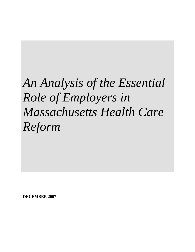# *An Analysis of the Essential Role of Employers in Massachusetts Health Care Reform*

**DECEMBER 2007**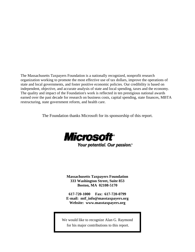The Massachusetts Taxpayers Foundation is a nationally recognized, nonprofit research organization working to promote the most effective use of tax dollars, improve the operations of state and local governments, and foster positive economic policies. Our credibility is based on independent, objective, and accurate analysis of state and local spending, taxes and the economy. The quality and impact of the Foundation's work is reflected in ten prestigious national awards earned over the past decade for research on business costs, capital spending, state finances, MBTA restructuring, state government reform, and health care.

The Foundation thanks Microsoft for its sponsorship of this report.



Your potential. Our passion."

**Massachusetts Taxpayers Foundation 333 Washington Street, Suite 853 Boston, MA 02108-5170** 

**617-720-1000 Fax: 617-720-0799 E-mail: mtf\_info@masstaxpayers.org Website: www.masstaxpayers.org** 

We would like to recognize Alan G. Raymond for his major contributions to this report.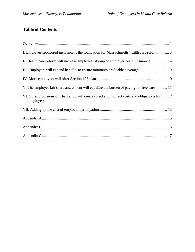# **Table of Contents**

| I. Employer-sponsored insurance is the foundation for Massachusetts health care reform 3                      |
|---------------------------------------------------------------------------------------------------------------|
| II. Health care reform will increase employee take-up of employer health insurance  4                         |
|                                                                                                               |
|                                                                                                               |
| V. The employer fair share assessment will equalize the burden of paying for free care  11                    |
| VI. Other provisions of Chapter 58 will create direct and indirect costs and obligations for  12<br>employers |
|                                                                                                               |
|                                                                                                               |
|                                                                                                               |
|                                                                                                               |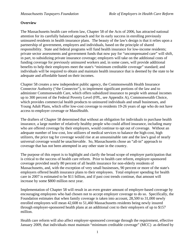#### **Overview**

The Massachusetts health care reform law, Chapter 58 of the Acts of 2006, has attracted national attention for its carefully balanced approach and for its early success in enrolling previously uninsured residents in health insurance plans. The beauty of the law's design is that it relies upon a partnership of government, employers and individuals, based on the principle of shared responsibility. State and federal programs will fund health insurance for low-income residents; private sector assessments and government funds that now pay for "uncompensated care" will shift, in part, to subsidizing private insurance coverage; employers will take on the additional costs of funding coverage for previously uninsured workers and, in some cases, will provide additional benefits to help their employees meet the state's "minimum creditable coverage" standard; and individuals will be required to obtain and maintain health insurance that is deemed by the state to be adequate and affordable based on their incomes.

Chapter 58 creates a new independent public agency, the Commonwealth Health Insurance Connector Authority ("the Connector"), to implement significant portions of the law and to administer Commonwealth Care, which offers subsidized insurance to people with annual incomes up to 300 percent of the Federal Poverty Level (FPL, see Appendix A), Commonwealth Choice, which provides commercial health products to uninsured individuals and small businesses, and Young Adult Plans, which offer low-cost coverage to residents 19-26 years of age who do not have access to employer coverage or MassHealth.

The drafters of Chapter 58 determined that without an obligation for individuals to purchase health insurance, a large number of relatively healthy people who could afford insurance, including many who are offered coverage by their employers, would continue to opt out of coverage. Without an adequate number of low-cost, low utilizers of medical services to balance the high-cost, high utilizers, the price tag for coverage would rise at an unsustainable rate and the law's goal of nearly universal coverage would be unachievable. So, Massachusetts chose an "all-in" approach to coverage that has not been attempted in any other state in the country.

The purpose of this report is to highlight and clarify the broad scope of employer participation that is critical to the success of health care reform. Prior to health care reform, employer-sponsored coverage provided nearly 80 percent of all health insurance for non-elderly residents of Massachusetts, and, with the exception of very small businesses, 90 percent or more of the state's employers offered health insurance plans to their employees. Total employer spending for health care in 2007 is estimated to be \$11 billion, and if past cost trends continue, that amount will increase by some \$800 million next year.

Implementation of Chapter 58 will result in an even greater amount of employer-based coverage by encouraging employees who had chosen not to accept employer coverage to do so. Specifically, the Foundation estimates that when family coverage is taken into account, 28,500 to 31,000 newly enrolled employees will mean 42,608 to 51,460 Massachusetts residents being newly insured through employer-sponsored health plans at an additional cost to their employers of up to \$157 million.

Health care reform will also affect employer-sponsored coverage through the requirement, effective January 2009, that individuals must maintain "minimum creditable coverage" (MCC) as defined by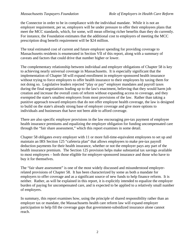the Connector in order to be in compliance with the individual mandate. While it is not an employer requirement, per se, employers will be under pressure to offer their employees plans that meet the MCC standards, which, for some, will mean offering richer benefits than they do currently. For instance, the Foundation estimates that the additional cost to employers of meeting the MCC prescription drug benefit requirement will be \$24 million.

The total estimated cost of current and future employer spending for providing coverage to Massachusetts residents is enumerated in Section VII of this report, along with a summary of caveats and factors that could drive that number higher or lower.

The complementary relationship between individual and employer obligations of Chapter 58 is key to achieving nearly universal coverage in Massachusetts. It is especially significant that the implementation of Chapter 58 will expand enrollment in employer-sponsored health insurance without trying to force employers to offer health insurance to their employees by taxing them for not doing so. Legislative leaders rejected "play or pay" employer mandates and payroll taxes during the final negotiations leading up to the law's enactment, believing that they would harm job creation and increase the overall costs of reform without expanding access to coverage, and they exempted the state's smallest employers from most provisions of the law. Rather than taking a punitive approach toward employers that do not offer employee health coverage, the law is designed to build on the state's already strong base of employer coverage and give more options to individuals and businesses that have not been able to afford coverage.

There are also specific employer provisions in the law encouraging pre-tax payment of employee health insurance premiums and equalizing the employer obligation for funding uncompensated care through the "fair share assessment," which this report examines in some detail.

Chapter 58 obligates every employer with 11 or more full-time-equivalent employees to set up and maintain an IRS Section 125 "cafeteria plan" that allows employees to make pre-tax payroll deduction payments for their health insurance, whether or not the employer pays any part of the health insurance premium. The Section 125 provision helps make substantial tax savings available to most employees – both those eligible for employer-sponsored insurance and those who have to buy it for themselves.

The "fair share assessment" is one of the most widely discussed and misunderstood employerrelated provisions of Chapter 58. It has been characterized by some as both a mandate for employers to offer coverage and as a significant source of new funds to help finance reform. It is neither. Rather, as will be explained in this report, it is explicitly intended to equalize the employer burden of paying for uncompensated care, and is expected to be applied to a relatively small number of employers.

In summary, this report examines how, using the principle of shared responsibility rather than an employer tax or mandate, the Massachusetts health care reform law will expand employer participation to help fill the coverage gaps that government-subsidized insurance alone cannot reach.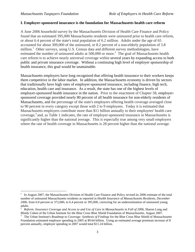$\overline{a}$ 

#### **I. Employer-sponsored insurance is the foundation for Massachusetts health care reform**

A June 2006 household survey by the Massachusetts Division of Health Care Finance and Policy found that an estimated 395,000 Massachusetts residents were uninsured prior to health care reform, or about 6.4 percent of the state's total population of 6.2 million. Adults under the age of 65 accounted for about 309,000 of the uninsured, or 8.2 percent of a non-elderly population of 3.8 million.<sup>1</sup> Other surveys, using U.S. Census data and different survey methodologies, have estimated the number of uninsured adults at 500,000 or more.<sup>2</sup> The goal of Massachusetts health care reform is to achieve nearly universal coverage within several years by expanding access to both public and private insurance coverage. Without a continuing high level of employer sponsorship of health insurance, this goal would be unattainable.

Massachusetts employers have long recognized that offering health insurance to their workers keeps them competitive in the labor market. In addition, the Massachusetts economy is driven by sectors that traditionally have high rates of employer-sponsored insurance, including finance, high tech, education, health care and insurance. As a result, the state has one of the highest levels of employer-sponsored health insurance in the nation. Prior to the enactment of Chapter 58, employersponsored coverage provided nearly 80 percent of all health insurance for non-elderly residents of Massachusetts, and the percentage of the state's employers offering health coverage averaged close to 90 percent in every category except those with 2 to 9 employees. Today it is estimated that Massachusetts employers contribute more than \$11 billion annually to their employees' health care coverage, $3$  and, as Table 1 indicates, the rate of employer-sponsored insurance in Massachusetts is significantly higher than the national average. This is especially true among very small employers where the rate of health coverage in Massachusetts is 28 percent higher than the national average.

<sup>&</sup>lt;sup>1</sup> In August 2007, the Massachusetts Division of Health Care Finance and Policy revised its 2006 estimate of the total number of uninsured Massachusetts residents as reported in *Health Insurance of Massachusetts Residents, December 2006*, from 6.0 percent or 372,000, to 6.4 percent or 395,000, correcting for an underestimation of uninsured young adults.

<sup>2</sup>  *Reform: Insurance Coverage and Access to and Use of Care in Massachusetts in Fall of 2006,* Sharon Long and Mindy Cohen of the Urban Institute for the Blue Cross Blue Shield Foundation of Massachusetts, August 2007. 3

<sup>&</sup>lt;sup>3</sup> The Urban Institute's *Roadmap to Coverage: Synthesis of Findings* for the Blue Cross Blue Shield of Massachusetts Foundation estimated employer spending in 2005 at \$9.64 billion. Using an estimated average premium increase of 8 percent annually, employer spending in 2007 would total \$11.24 billion.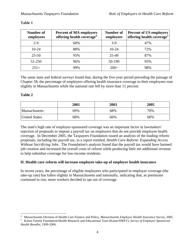| Number of<br>employees | <b>Percent of MA employers</b><br>offering health coverage <sup>4</sup> | Number of<br>employees | Percent of US employers<br>offering health coverage <sup>5</sup> |
|------------------------|-------------------------------------------------------------------------|------------------------|------------------------------------------------------------------|
| $2-9$                  | 60%                                                                     | $3-9$                  | 47%                                                              |
| $10-24$                | 88%                                                                     | $10-24$                | 72%                                                              |
| $25 - 50$              | 95%                                                                     | 25-49                  | 87%                                                              |
| 51-250                 | 96%                                                                     | 50-199                 | 93%                                                              |
| $251+$                 | 99%                                                                     | $200+$                 | 98%                                                              |

#### **Table 1**

The same state and federal surveys found that, during the five-year period preceding the passage of Chapter 58, the percentage of employers offering health insurance coverage to their employees rose slightly in Massachusetts while the national rate fell by more than 11 percent.

#### **Table 2**

 $\overline{a}$ 

|                      | 2001 | 2003 | 2005 |
|----------------------|------|------|------|
| Massachusetts        | 69%  | 68%  | 70%  |
| <b>United States</b> | 68%  | 66%  | 60%  |

The state's high rate of employer-sponsored coverage was an important factor in lawmakers' rejection of proposals to impose a payroll tax on employers that do not provide employee health coverage. In December 2005, the Taxpayers Foundation issued an analysis of the leading reform proposals, including the payroll tax, in a report entitled, *Health Care Reform: Expanding Access Without Sacrificing Jobs*. The Foundation's analysis found that the payroll tax would have harmed job creation and increased the overall costs of reform while producing little net additional revenue to help subsidize coverage for low-income residents.

#### **II. Health care reform will increase employee take-up of employer health insurance**

In recent years, the percentage of eligible employees who participated in employer coverage (the take-up rate) has fallen slightly in Massachusetts and nationally, indicating that, as premiums continued to rise, more workers decided to opt out of coverage.

<sup>4</sup> Massachusetts Division of Health Care Finance and Policy, Massachusetts Employer Health Insurance Survey, 2005.

Kaiser Family Foundation/Health Research and Educational Trust (Kaiser/HRET), *Survey of Employer-Sponsored Health Benefits*, 1999-2006.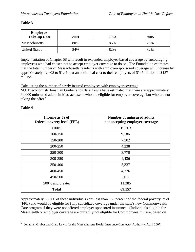#### **Table 3**

| <b>Employee</b><br><b>Take-up Rate</b> | 2001 | 2003 | 2005 |
|----------------------------------------|------|------|------|
| <b>Massachusetts</b>                   | 80%  | 85%  | 78%  |
| <b>United States</b>                   | 84%  | 82%  | 82%  |

Implementation of Chapter 58 will result in expanded employer-based coverage by encouraging employees who had chosen not to accept employer coverage to do so. The Foundation estimates that the total number of Massachusetts residents with employer-sponsored coverage will increase by approximately 42,608 to 51,460, at an additional cost to their employers of \$145 million to \$157 million.

Calculating the number of newly insured employees with employer coverage

M.I.T. economists Jonathan Gruber and Clara Lewis have estimated that there are approximately 69,000 uninsured adults in Massachusetts who are eligible for employer coverage but who are not taking the offer. $<sup>6</sup>$ </sup>

#### **Table 4**

| Income as % of<br>federal poverty level (FPL) | <b>Number of uninsured adults</b><br>not accepting employer coverage |
|-----------------------------------------------|----------------------------------------------------------------------|
| $<$ 100%                                      | 19,763                                                               |
| 100-150                                       | 9,186                                                                |
| 150-200                                       | 7,502                                                                |
| 200-250                                       | 4,238                                                                |
| 250-300                                       | 3,770                                                                |
| 300-350                                       | 4,436                                                                |
| 350-400                                       | 3,337                                                                |
| 400-450                                       | 4,226                                                                |
| 450-500                                       | 916                                                                  |
| 500% and greater                              | 11,385                                                               |
| <b>Total</b>                                  | 69,157                                                               |

Approximately 30,000 of these individuals earn less than 150 percent of the federal poverty level (FPL) and would be eligible for fully subsidized coverage under the state's new Commonwealth Care program if they were not offered employer-sponsored insurance. (Individuals eligible for MassHealth or employer coverage are currently not eligible for Commonwealth Care, based on

 6 Jonathan Gruber and Clara Lewis for the Massachusetts Health Insurance Connector Authority, April 2007.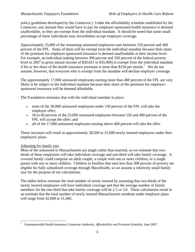policy guidelines developed by the Connector.) Under the affordability schedule established by the Connector, any amount they would have to pay for employer-sponsored health insurance is deemed unaffordable, so they are exempt from the individual mandate. It should be noted that some small percentage of these individuals may nevertheless accept employer coverage.

Approximately 23,000 of the remaining uninsured employees earn between 150 percent and 400 percent of the FPL. Some of them will be exempt from the individual mandate because their share of the premium for employer-sponsored insurance is deemed unaffordable at their income level. For example, an individual making between 300 percent and 350 percent of the federal poverty level in 2007 (a gross annual income of \$30,631 to \$35,000) is exempt from the individual mandate if his or her share of the health insurance premium is more than \$150 per month.<sup>7</sup> We do not assume, however, that everyone who is exempt from the mandate will decline employer coverage.

The approximately 17,000 uninsured employees earning more than 400 percent of the FPL are very likely to be subject to the individual mandate because their share of the premium for employersponsored insurance will be deemed affordable.

The Foundation estimates that with the individual mandate in place:

- none of the 30,000 uninsured employees under 150 percent of the FPL will take the employer offer;
- 50 to 60 percent of the 23,000 uninsured employees between 150 and 400 percent of the FPL will accept the offer; and
- all of the 17,000 uninsured employees earning above 400 percent will take the offer.

These increases will result in approximately 28,500 to 31,000 newly insured employees under their employers' plans.

#### Adjusting for family size

Most of the uninsured in Massachusetts are single rather than married, so we estimate that twothirds of these employees will take individual coverage and one-third will take family coverage. A covered family could comprise an adult couple, a couple with one or more children, or a single parent with one or more children. Children in families that earn less than 300 percent of poverty are eligible for fully subsidized coverage through MassHealth, so we assume a relatively small family size for the purpose of our calculations.

The tables below estimate the total number of newly insured by assuming that two-thirds of the newly insured employees will have individual coverage and that the average number of family members for the one-third that take family coverage will be 2.5 or 3.0. These calculations result in an estimate that the total number of newly insured Massachusetts residents under employer plans will range from 42,608 to 51,460.

 $\overline{a}$ 7 Commonwealth Health Insurance Connector Authority, *Affordability and Premium Schedule*, June 2007.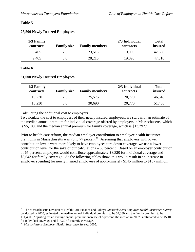#### **Table 5**

#### **28,500 Newly Insured Employees**

| 1/3 Family<br>contracts | <b>Family size</b> | <b>Family members</b> | 2/3 Individual<br>contracts | <b>Total</b><br>insured |
|-------------------------|--------------------|-----------------------|-----------------------------|-------------------------|
| 9,405                   | 2.5                | 23,513                | 19,095                      | 42,608                  |
| 9,405                   | 3.0                | 28,215                | 19,095                      | 47,310                  |

#### **Table 6**

 $\overline{a}$ 

#### **31,000 Newly Insured Employees**

| 1/3 Family<br>contracts | <b>Family size</b> | <b>Family members</b> | 2/3 Individual<br>contracts | <b>Total</b><br>insured |
|-------------------------|--------------------|-----------------------|-----------------------------|-------------------------|
| 10,230                  | 2.5                | 25,575                | 20,770                      | 46,345                  |
| 10,230                  | 3.0                | 30,690                | 20,770                      | 51,460                  |

#### Calculating the additional cost to employers

To calculate the cost to employers of their newly insured employees, we start with an estimate of the median annual premium for individual coverage offered by employers in Massachusetts, which is \$5,108, and the median annual premium for family coverage, which is  $$13,297$ .<sup>8</sup>

Prior to health care reform, the median employer contribution to employee health insurance premiums in Massachusetts was 75 to 77 percent.<sup>9</sup> Assuming that employers with lower contribution levels were more likely to have employees turn down coverage, we use a lower contribution level for the sake of our calculations – 65 percent. Based on an employer contribution of 65 percent, employers would contribute approximately \$3,320 for individual coverage and \$8,643 for family coverage. As the following tables show, this would result in an increase in employer spending for newly insured employees of approximately \$145 million to \$157 million.

<sup>8</sup> The Massachusetts Division of Health Care Finance and Policy's *Massachusetts Employer Health Insurance Survey*, conducted in 2005, estimated the median annual individual premium to be \$4,380 and the family premium to be \$11,400. Adjusting for an average annual premium increase of 8 percent, the median in 2007 is estimated to be \$5,109 for individual coverage and \$13,297 for family coverage.

<sup>9</sup> *Massachusetts Employer Health Insurance Survey*, 2005.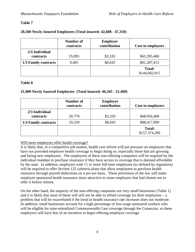#### **Table 7**

#### **28,500 Newly Insured Employees (Total insured: 42,608 - 47,310)**

|                             | Number of<br>contracts | <b>Employer</b><br>contribution | <b>Cost to employers</b>       |
|-----------------------------|------------------------|---------------------------------|--------------------------------|
| 2/3 Individual<br>contracts | 19,095                 | \$3,320                         | \$63,395,400                   |
| 1/3 Family contracts        | 9,405                  | \$8,643                         | \$81,287,415                   |
|                             |                        |                                 | <b>Total:</b><br>\$144,682,815 |

#### **Table 8**

#### **31,000 Newly Insured Employees (Total insured: 46,345 - 51,460)**

|                             | Number of<br>contracts | <b>Employer</b><br>contribution | Cost to employers              |
|-----------------------------|------------------------|---------------------------------|--------------------------------|
| 2/3 Individual<br>contracts | 20,770                 | \$3,320                         | \$68,956,400                   |
| 1/3 Family contracts        | 10,230                 | \$8,643                         | \$88,417,890                   |
|                             |                        |                                 | <b>Total:</b><br>\$157,374,290 |

#### Will more employers offer health coverage?

It is likely that, in a competitive job market, health care reform will put pressure on employers that have not provided employee health coverage to begin doing so, especially those that are growing and hiring new employees. The employees of these non-offering companies will be required by the individual mandate to purchase insurance if they have access to coverage that is deemed affordable by the state. In addition, employers with 11 or more full-time employees (as defined by regulation) will be required to offer Section 125 cafeteria plans that allow employees to purchase health insurance through payroll deductions on a pre-tax basis. These provisions of the law will make employer-sponsored health insurance more attractive to some employers that had chosen not to offer it before reform.

On the other hand, the majority of the non-offering companies are very small businesses (Table 1) and it is likely that most of those will still not be able to afford coverage for their employees – a problem that will be exacerbated if the trend in health insurance rate increases does not moderate. In addition, small businesses account for a high percentage of low-wage uninsured workers who will be eligible for state-subsidized Commonwealth Care coverage through the Connector, so these employers will have less of an incentive to begin offering employee coverage.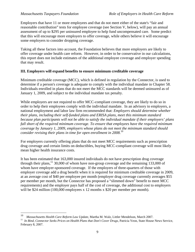Employers that have 11 or more employees and that do not meet either of the state's "fair and reasonable contribution" tests for employee coverage (see Section V, below), will pay an annual assessment of up to \$295 per uninsured employee to help fund uncompensated care. Some predict that this will encourage more employers to offer coverage, while others believe it will encourage some employers to consider dropping coverage.

Taking all these factors into account, the Foundation believes that more employers are likely to offer coverage under health care reform. However, in order to be conservative in our calculations, this report does not include estimates of the additional employee coverage and employer spending that may result.

#### **III. Employers will expand benefits to ensure minimum creditable coverage**

Minimum creditable coverage (MCC), which is defined in regulation by the Connector, is used to determine if a person's coverage is adequate to comply with the individual mandate in Chapter 58. Individuals enrolled in plans that do not meet the MCC standards will be deemed uninsured as of January 1, 2009, and subject to the individual mandate tax penalty.

While employers are not required to offer MCC-compliant coverage, they are likely to do so in order to help their employees comply with the individual mandate. In an advisory to employers, a national employment and labor law firm recommended that: *Employers should determine whether their plans, including their self-funded plans and ERISA plans, meet this minimum standard because plan participants will not be able to satisfy the individual mandate if their employers' plans fall short of the required minimum coverage. To ensure that employees have the required minimum coverage by January 1, 2009, employers whose plans do not meet the minimum standard should consider revising their plans in time for open enrollment in 2008*. 10

For employers currently offering plans that do not meet MCC requirements such as prescription drug coverage and certain limits on deductibles, buying MCC-compliant coverage will most likely mean higher health insurance costs.

It has been estimated that 163,000 insured individuals do not have prescription drug coverage through their plans,<sup>11</sup> 30,000 of whom have non-group coverage and the remaining 133,000 of whom have employer-sponsored coverage. If the employers of three-quarters of those with employer coverage add a drug benefit when it is required for minimum creditable coverage in 2009, at an average cost of \$40 per employee per month (employer drug coverage currently averages \$55 per member per month, but the Connector has proposed a "slimmed down" benefit to meet MCC requirements) and the employer pays half of the cost of coverage, the additional cost to employers will be \$24 million (100,000 employees x 12 months x \$20 per member per month).

 $10\,$ 

<sup>&</sup>lt;sup>10</sup> Massachusetts Health Care Reform Law Update, Martha M. Walz, Littler Mendelson, March 2007.<br><sup>11</sup> In Bind, Connector Seeks Prices on Health Plans that Don't Cover Drugs, Patricia Yeon, State House News Service, February 8, 2007.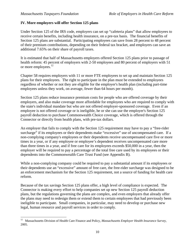$\overline{a}$ 

#### **IV. More employers will offer Section 125 plans**

Under Section 125 of the IRS code, employers can set up "cafeteria plans" that allow employees to receive certain benefits, including health insurance, on a pre-tax basis. The financial benefits of Section 125 plans are substantial. Participating employees can save from 28 percent to 48 percent of their premium contributions, depending on their federal tax bracket, and employers can save an additional 7.65% on their share of payroll taxes.

It is estimated that half of Massachusetts employers offered Section 125 plans prior to passage of health reform: 45 percent of employers with 2-50 employees and 80 percent of employers with 51 or more employees.<sup>12</sup>

Chapter 58 requires employers with 11 or more FTE employees to set up and maintain Section 125 plans for their employees. The right to participate in the plan must be extended to employees regardless of whether or not they are eligible for the employer's health plan (including part-time employees unless they work, on average, fewer than 64 hours per month).

Section 125 plans reduce insurance premium costs for people who are offered coverage by their employers, and also make coverage more affordable for employees who are required to comply with the state's individual mandate but who are not offered employer-sponsored coverage. Even if an employee is not offered coverage or is ineligible, he or she can use the employer's Section 125 payroll deduction to purchase Commonwealth Choice coverage, which is offered through the Connector or directly from health plans, with pre-tax dollars.

An employer that fails to comply with the Section 125 requirement may have to pay a "free-rider surcharge" if its employees or their dependents make "excessive" use of uncompensated care. If a non-complying company's employees or their dependents receive uncompensated care five or more times in a year, or if any employee or employee's dependent receives uncompensated care more than three times in a year, and if free care for its employees exceeds \$50,000 in a year, then the employer will be required to pay a percentage of the total free care used by its employees or their dependents into the Commonwealth Care Trust Fund (see Appendix B).

While a non-complying company could be required to pay a substantial amount if its employees or their dependents use an "excessive" amount of free care, the free-rider surcharge was designed to be an enforcement mechanism for the Section 125 requirement, not a source of funding for health care reform.

Because of the tax savings Section 125 plans offer, a high level of compliance is expected. The Connector is making every effort to help companies set up new Section 125 payroll deduction plans, but the regulations governing the plans are complex, and even employers that already offer the plans may need to redesign them or extend them to certain employees that had previously been ineligible to participate. Small companies, in particular, may need to develop or purchase new legal, human resource and payroll services in order to comply.

<sup>12</sup> Massachusetts Division of Health Care Finance and Policy, *Massachusetts Employer Health Insurance Survey*, 2005.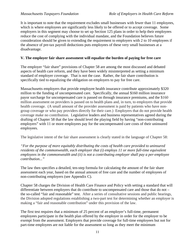It is important to note that the requirement excludes small businesses with fewer than 11 employees, which is where employees are significantly less likely to be offered or to accept coverage. Some employers in this segment may choose to set up Section 125 plans in order to help their employees reduce the cost of complying with the individual mandate, and the Foundation believes future consideration should be given to extending the requirement to employers with 2 to 10 employees if the absence of pre-tax payroll deductions puts employees of these very small businesses at a disadvantage.

#### **V. The employer fair share assessment will equalize the burden of paying for free care**

The employer "fair share" provisions of Chapter 58 are among the most discussed and debated aspects of health care reform, and they have been widely misinterpreted as setting a minimum standard of employer coverage. That is not the case. Rather, the fair share contribution is specifically tied to equalizing the obligation on employers to pay for free care.

Massachusetts employers that provide employee health insurance contribute approximately \$320 million to the funding of uncompensated care. Specifically, the annual \$160 million insurance payor surcharge for uncompensated care is passed on through insurance premiums, and the \$160 million assessment on providers is passed on to health plans and, in turn, to employers that provide health coverage. (A small amount of the provider assessment is paid by patients who have nongroup coverage or who pay providers directly for their care.) Employers that do not provide health coverage make no contribution. Legislative leaders and business representatives agreed during the drafting of Chapter 58 that the law should level the playing field by having "non-contributing employers" with 11 or more employees pay for the uncompensated care costs of their uninsured employees.

The legislative intent of the fair share assessment is clearly stated in the language of Chapter 58:

*"For the purpose of more equitably distributing the costs of health care provided to uninsured residents of the commonwealth, each employer that (i) employs 11 or more full-time equivalent employees in the commonwealth and (ii) is not a contributing employer shall pay a per-employee contribution..."* 

The law then specifies a detailed, ten-step formula for calculating the amount of the fair share assessment each year, based on the annual amount of free care and the number of employees of non-contributing employers (see Appendix C).

Chapter 58 charges the Division of Health Care Finance and Policy with setting a standard that will differentiate between employers that do contribute to uncompensated care and those that do not – the so-called "fair and reasonable" test. After a series of consultative sessions and public hearings, the Division adopted regulations establishing a two-part test for determining whether an employer is making a "fair and reasonable contribution" under this provision of the law.

The first test requires that a minimum of 25 percent of an employer's full-time, permanent employees participate in the health plan offered by the employer in order for the employer to be exempt from the assessment. Employers that provide coverage for full-time employees but not for part-time employees are not liable for the assessment so long as they meet the minimum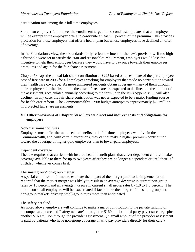participation rate among their full-time employees.

Should an employer fail to meet the enrollment target, the second test stipulates that an employer will be exempt if the employer offers to contribute at least 33 percent of the premium. This provides protection for those employers that offer a health plan but whose employees have declined an offer of coverage.

In the Foundation's view, these standards fairly reflect the intent of the law's provisions. If too high a threshold were set to satisfy the "fair and reasonable" requirement, employers would lose the incentive to help their employees because they would have to pay once towards their employees' premiums and again for the fair share assessment.

Chapter 58 caps the annual fair share contribution at \$295 based on an estimate of the per-employee cost of free care in 2005 for all employees working for employers that made no contribution toward their health care coverage. As more uninsured residents obtain coverage – many of them through their employers for the first time – the costs of free care are expected to decline, and the amount of the assessment, recalculated annually according to the formula in the law (Appendix C), will also decline. In any case, the fair share contribution was never expected to be a major funding source for health care reform. The Commonwealth's FY08 budget anticipates approximately \$23 million in projected fair share assessments.

#### **VI. Other provisions of Chapter 58 will create direct and indirect costs and obligations for employers**

#### Non-discrimination rules

Employers must offer the same health benefits to all full-time employees who live in the Commonwealth, and, with certain exceptions, they cannot make a higher premium contribution toward the coverage of higher-paid employees than to lower-paid employees.

#### Dependent coverage

The law requires that carriers with insured health benefit plans that cover dependent children make coverage available to them for up to two years after they are no longer a dependent or until their  $26<sup>th</sup>$ birthday, whichever comes first.

#### The small group/non-group merger

A special commission formed to estimate the impact of the merger prior to its implementation reported that the market merger was likely to result in an average *decrease* in current non-group rates by 15 percent and an average *increase* in current small group rates by 1.0 to 1.5 percent. The burden on small employers will be exacerbated if factors like the merger of the small-group and non-group markets drive up small-group rates more than anticipated.

#### The safety net fund

As noted above, employers will continue to make a major contribution to the private funding of uncompensated care and "safety net care" through the \$160 million third-party payer surcharge plus another \$160 million through the provider assessment. (A small amount of the provider assessment is paid by patients who have non-group coverage or who pay providers directly for their care.)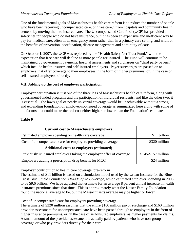One of the fundamental goals of Massachusetts health care reform is to reduce the number of people who have been receiving uncompensated care, or "free care," from hospitals and community health centers, by moving them to insured care. The Uncompensated Care Pool (UCP) has provided a safety net for people who do not have insurance, but it has been an expensive and inefficient way to pay for medical care, often in an emergency room rather than in a primary care setting, and without the benefits of prevention, coordination, disease management and continuity of care.

On October 1, 2007, the UCP was replaced by the "Health Safety Net Trust Fund," with the expectation that free care will decline as more people are insured. The Fund will continue to be maintained by government payments, hospital assessments and surcharges on "third party payers," which include health insurers and self-insured employers. Payer surcharges are passed on to employers that offer coverage to their employees in the form of higher premiums, or, in the case of self-insured employers, directly.

#### **VII. Adding up the cost of employer participation**

Employer participation is just one of the three legs of Massachusetts health care reform, along with government-funded programs and the participation of individual residents, and like the other two, it is essential. The law's goal of nearly universal coverage would be unachievable without a strong and expanding foundation of employer-sponsored coverage as summarized here along with some of the factors that could make the real cost either higher or lower than the Foundation's estimates.

#### **Table 9**

| <b>Current cost to Massachusetts employers</b>                       |                       |
|----------------------------------------------------------------------|-----------------------|
| Estimated employer spending on health care coverage                  | \$11 billion          |
| Cost of uncompensated care for employers providing coverage          | \$320 million         |
| <b>Additional costs to employers (estimated)</b>                     |                       |
| Previously uninsured employees taking the employer offer of coverage | $$145 - $157$ million |
| Employers adding a prescription drug benefit for MCC                 | \$24 million          |

#### Employer contribution to health care coverage, pre-reform

The estimate of \$11 billion is based on a simulation model used by the Urban Institute for the Blue Cross Blue Shield Foundation's *Roadmap to Coverage*, which estimated employer spending in 2005 to be \$9.6 billion. We have adjusted that estimate for an average 8 percent annual increase in health insurance premiums since that time. This is approximately what the Kaiser Family Foundation found the national average to be, but the Massachusetts average may be higher or lower.

#### Cost of uncompensated care for employers providing coverage

The estimate of \$320 million assumes that the entire \$160 million payor surcharge and \$160 million provider assessment for uncompensated care have been passed through to employers in the form of higher insurance premiums, or, in the case of self-insured employers, as higher payments for claims. A small amount of the provider assessment is actually paid by patients who have non-group coverage or who pay providers directly for their care.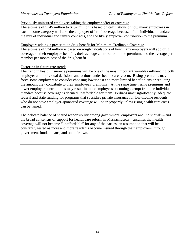#### Previously uninsured employees taking the employer offer of coverage

The estimate of \$145 million to \$157 million is based on calculations of how many employees in each income category will take the employer offer of coverage because of the individual mandate, the mix of individual and family contracts, and the likely employer contribution to the premium.

#### Employers adding a prescription drug benefit for Minimum Creditable Coverage

The estimate of \$24 million is based on rough calculations of how many employers will add drug coverage to their employee benefits, their average contribution to the premium, and the average per member per month cost of the drug benefit.

#### Factoring in future rate trends

The trend in health insurance premiums will be one of the most important variables influencing both employer and individual decisions and actions under health care reform. Rising premiums may force some employers to consider choosing lower-cost and more limited benefit plans or reducing the amount they contribute to their employees' premiums. At the same time, rising premiums and lower employer contributions may result in more employees becoming exempt from the individual mandate because coverage is deemed unaffordable for them. Perhaps most significantly, adequate federal and state funding for programs that subsidize private insurance for low-income residents who do not have employer-sponsored coverage will be in jeopardy unless rising health care costs can be tamed.

The delicate balance of shared responsibility among government, employers and individuals – and the broad consensus of support for health care reform in Massachusetts – assumes that health coverage will not become "unaffordable" for any of the parties, an assumption that will be constantly tested as more and more residents become insured through their employers, through government funded plans, and on their own.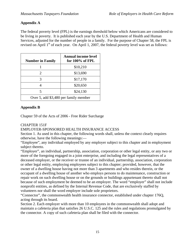### **Appendix A**

The federal poverty level (FPL) is the earnings threshold below which Americans are considered to be living in poverty. It is published each year by the U.S. Department of Health and Human Services, adjusted for the number of people in a family. For the purpose of Chapter 58, the FPL is revised on April  $1<sup>st</sup>$  of each year. On April 1, 2007, the federal poverty level was set as follows:

| <b>Number in Family</b>               | <b>Annual income level</b><br>for 100% of FPL |  |
|---------------------------------------|-----------------------------------------------|--|
|                                       | \$10,210                                      |  |
| $\mathcal{D}_{\mathcal{L}}$           | \$13,690                                      |  |
| 3                                     | \$17,170                                      |  |
|                                       | \$20,650                                      |  |
|                                       | \$24,130                                      |  |
| Over 5, add \$3,480 per family member |                                               |  |

#### **Appendix B**

Chapter 59 of the Acts of 2006 - Free Rider Surcharge

### CHAPTER 151F

#### EMPLOYER-SPONSORED HEALTH INSURANCE ACCESS

Section 1. As used in this chapter, the following words shall, unless the context clearly requires otherwise, have the following meanings:—

"Employee", any individual employed by any employer subject to this chapter and in employment subject thereto.

"Employer", an individual, partnership, association, corporation or other legal entity, or any two or more of the foregoing engaged in a joint enterprise, and including the legal representatives of a deceased employer, or the receiver or trustee of an individual, partnership, association, corporation or other legal entity, employing employees subject to this chapter; provided, however, that the owner of a dwelling house having not more than 3 apartments and who resides therein, or the occupant of a dwelling house of another who employs persons to do maintenance, construction or repair work on such dwelling house or on the grounds or buildings appurtenant thereto shall not because of such employment be deemed to be an employer. The word "employer" shall not include nonprofit entities, as defined by the Internal Revenue Code, that are exclusively staffed by volunteers nor shall the word employer include sole proprietors.

"Connector", the commonwealth health insurance connector, established under chapter 176Q, acting through its board.

Section 2. Each employer with more than 10 employees in the commonwealth shall adopt and maintain a cafeteria plan that satisfies 26 U.S.C. 125 and the rules and regulations promulgated by the connector. A copy of such cafeteria plan shall be filed with the connector.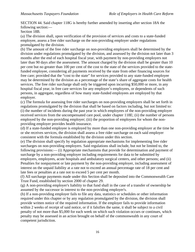SECTION 44. Said chapter 118G is hereby further amended by inserting after section 18A the following section:—

Section 18B.

(a) The division shall, upon verification of the provision of services and costs to a state-funded employee, assess a free rider surcharge on the non-providing employer under regulations promulgated by the division.

(b) The amount of the free rider surcharge on non-providing employers shall be determined by the division under regulations promulgated by the division, and assessed by the division not later than 3 months after the end of each hospital fiscal year, with payment by non-providing employers not later than 90 days after the assessment. The amount charged by the division shall be greater than 10 per cent but no greater than 100 per cent of the cost to the state of the services provided to the statefunded employee, considering all payments received by the state from other financing sources for free care; provided that the "cost to the state" for services provided to any state-funded employee may be determined by the division as a percentage of the state's share of aggregate costs for health services. The free rider surcharge shall only be triggered upon incurring \$50,000 or more, in any hospital fiscal year, in free care services for any employer's employees, or dependents of such persons, in aggregate, regardless of how many state-funded employees are employed by that employer.

(c) The formula for assessing free rider surcharges on non-providing employers shall be set forth in regulations promulgated by the division that shall be based on factors including, but not limited to: (i) the number of incidents during the past year in which employees of the non-providing employer received services from the uncompensated care pool, under chapter 118E; (ii) the number of persons employed by the non-providing employer; (iii) the proportion of employees for whom the nonproviding employer provides health insurance.

(d) If a state-funded employee is employed by more than one non-providing employer at the time he or she receives services, the division shall assess a free rider surcharge on each said employer consistent with the formula established by the division under this section.

(e) The division shall specify by regulation appropriate mechanisms for implementing free rider surcharges on non-providing employers. Said regulations shall include, but not be limited to, the following provisions:— (i) Appropriate mechanisms that provide for determination and payment of surcharge by a non-providing employer including requirements for data to be submitted by employers, employees, acute hospitals and ambulatory surgical centers, and other persons; and (ii) Penalties for nonpayment or late payment by the non-providing employer, including assessment of interest on the unpaid liability at a rate not to exceed an annual percentage rate of 18 per cent and late fees or penalties at a rate not to exceed 5 per cent per month.

(f) All surcharge payments made under this Section shall be deposited into the Commonwealth Care Trust Fund, established by section 2000 of chapter 29.

(g) A non-providing employer's liability to that fund shall in the case of a transfer of ownership be assumed by the successor in interest to the non-providing employer's.

(h) If a non-providing employer fails to file any data, statistics or schedules or other information required under this chapter or by any regulation promulgated by the division, the division shall provide written notice of the required information. If the employer fails to provide information within 2 weeks of receipt of said notice, or if it falsifies the same, it shall be subject to a civil penalty of not more than \$5,000 for each week on which such violation occurs or continues, which penalty may be assessed in an action brought on behalf of the commonwealth in any court of competent jurisdiction.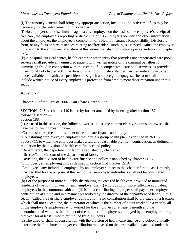(i) The attorney general shall bring any appropriate action, including injunctive relief, as may be necessary for the enforcement of this chapter.

(j) No employer shall discriminate against any employee on the basis of the employee's receipt of free care, the employee's reporting or disclosure of his employer's identity and other information about the employer, the employee's completion of a Health Insurance Responsibility Disclosure form, or any facts or circumstances relating to "free rider" surcharges assessed against the employer in relation to the employee. Violation of this subsection shall constitute a per se violation of chapter 93A.

(k) A hospital, surgical center, health center or other entity that provides uncompensated care pool services shall provide any uninsured patient with written notice of the criminal penalties for committing fraud in connection with the receipt of uncompensated care pool services, as provided in section 41 of chapter 268. The division shall promulgate a standard written notice form to be made available to health care providers in English and foreign languages. The form shall further include written notice of every employee's protection from employment discrimination under this section.

## **Appendix C**

Chapter 59 of the Acts of 2006 - Fair Share Contribution

SECTION 47. Said chapter 149 is hereby further amended by inserting after section 187 the following section:—

Section 188.

(a) As used in this section, the following words, unless the context clearly requires otherwise, shall have the following meanings:—

"Commissioner", the commissioner of health care finance and policy.

"Contributing employer", an employer that offers a group health plan, as defined in 26 U.S.C.

5000(b)(1), to which the employer makes a fair and reasonable premium contribution, as defined in regulation by the division of health care finance and policy.

"Department", the department of labor, established by chapter 23.

"Director", the director of the department of labor.

"Division", the division of health care finance and policy, established by chapter 118G.

"Employer", an employing unit as defined in section 1 of chapter 151A.

"Employee", any individual employed by an employer subject to this chapter for at least 1 month, provided that for the purpose of this section self-employed individuals shall not be considered employees.

(b) For the purpose of more equitably distributing the costs of health care provided to uninsured residents of the commonwealth, each employer that (i) employs 11 or more full-time equivalent employees in the commonwealth and (ii) is not a contributing employer shall pay a per-employee contribution at a time and in a manner prescribed by the director of the department of labor, in this section called the fair share employer contribution. Said contribution shall be pro-rated by a fraction which shall not exceed one, the numerator of which is the number of hours worked in a year by all of the employer's employees who worked for the employer for at least 1 month and the denominator of which is the product of the number of employees employed by an employer during that year for at least 1 month multiplied by 2,000 hours.

(c) The director shall, in consultation with the division of health care finance and policy, annually determine the fair share employer contribution rate based on the best available data and under the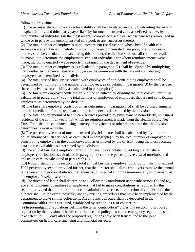following provisions:—

(1) The per-user share of private sector liability shall be calculated annually by dividing the sum of hospital liability and third-party payor liability for uncompensated care, as defined by law, by the total number of individuals in the most recently completed fiscal year whose care was reimbursed in whole or in part by the uncompensated care pool, or any successor thereto.

(2) The total number of employees in the most recent fiscal year on whose behalf health care services were reimbursed in whole or in part by the uncompensated care pool, or any successor thereto, shall be calculated. In calculating this number, the division shall use all resources available to enable it to determine the employment status of individuals for whom reimbursements were made, including quarterly wage reports maintained by the department of revenue.

(3) The total number of employees as calculated in paragraph (2) shall be adjusted by multiplying that number by the percentage of employers in the commonwealth that are not contributing employers, as determined by the division.

(4) The total cost of liability associated with employees of non-contributing employers shall be determined by multiplying the number of employees, as calculated in paragraph (3) by the per-user share of private sector liability as calculated in paragraph (1).

(5) The fair share employer contribution shall be calculated by dividing the total cost of liability as calculated in paragraph (4) by the total number of employees of employers that are not contributing employers, as determined by the division.

(6) The fair share employer contribution, as determined in paragraph (5) shall be adjusted annually to reflect medical inflation, using an appropriate index as determined by the division.

(7) The total dollar amount of health care services provided by physicians to non-elderly, uninsured residents of the commonwealth for which no reimbursement is made from the Health Safety Net Trust Fund shall be calculated using a survey of physicians or other data source that the division determines is most accurate.

(8) The per-employee cost of uncompensated physician care shall be calculated by dividing the dollar amount of such services, as calculated in paragraph (7) by the total number of employees of contributing employers in the commonwealth, as estimated by the division using the most accurate data source available, as determined by the division.

(9) The annual fair share employer contribution shall be calculated by adding the fair share employer contribution as calculated in paragraph (6) and the per-employee cost of unreimbursed physician care, as calculated in paragraph (8).

(10) Notwithstanding this section, the total annual fair share employer contribution shall not exceed \$295 per employee; and provided further, that the director shall allow employers to make the annual fair share employer contribution either annually, or in equal amounts semi-annually or quarterly, at the employer's sole discretion.

(d) The director of labor shall determine and collect the contribution under subsections (b) and (c), and shall implement penalties for employers that fail to make contributions as required by this section, provided that in order to reduce the administrative costs of collection of contributions the director shall, to the extent possible, use any existing procedures that have been implemented by the department to make similar collections. All amounts collected shall be deposited in the Commonwealth Care Trust Fund, established by section 2000 of chapter 29.

(e) In promulgating regulations defining the term "contribution" under this section, no proposed regulation by the division of health care finance and policy, except an emergency regulation, shall take effect until 60 days after the proposed regulations have been transmitted to the joint committees on health care financing and financial services.